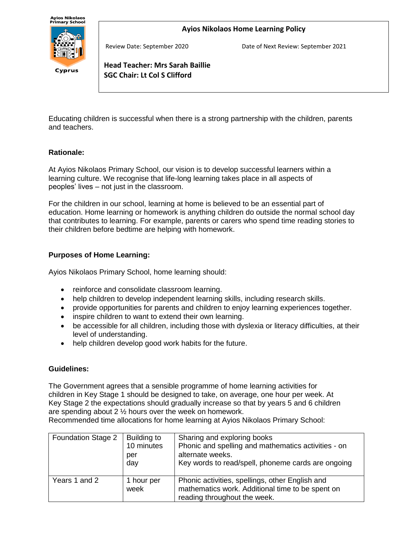Cyprus

**Ayios Nikolaos Home Learning Policy**

Review Date: September 2020 Date of Next Review: September 2021

**Head Teacher: Mrs Sarah Baillie SGC Chair: Lt Col S Clifford**

Educating children is successful when there is a strong partnership with the children, parents and teachers.

# **Rationale:**

At Ayios Nikolaos Primary School, our vision is to develop successful learners within a learning culture. We recognise that life-long learning takes place in all aspects of peoples' lives – not just in the classroom.

For the children in our school, learning at home is believed to be an essential part of education. Home learning or homework is anything children do outside the normal school day that contributes to learning. For example, parents or carers who spend time reading stories to their children before bedtime are helping with homework.

# **Purposes of Home Learning:**

j

Ayios Nikolaos Primary School, home learning should:

- reinforce and consolidate classroom learning.
- help children to develop independent learning skills, including research skills.
- provide opportunities for parents and children to enjoy learning experiences together.
- inspire children to want to extend their own learning.
- be accessible for all children, including those with dyslexia or literacy difficulties, at their level of understanding.
- help children develop good work habits for the future.

# **Guidelines:**

The Government agrees that a sensible programme of home learning activities for children in Key Stage 1 should be designed to take, on average, one hour per week. At Key Stage 2 the expectations should gradually increase so that by years 5 and 6 children are spending about 2 ½ hours over the week on homework.

Recommended time allocations for home learning at Ayios Nikolaos Primary School:

| Foundation Stage 2 | Building to<br>10 minutes<br>per<br>day | Sharing and exploring books<br>Phonic and spelling and mathematics activities - on<br>alternate weeks.<br>Key words to read/spell, phoneme cards are ongoing |
|--------------------|-----------------------------------------|--------------------------------------------------------------------------------------------------------------------------------------------------------------|
| Years 1 and 2      | 1 hour per<br>week                      | Phonic activities, spellings, other English and<br>mathematics work. Additional time to be spent on<br>reading throughout the week.                          |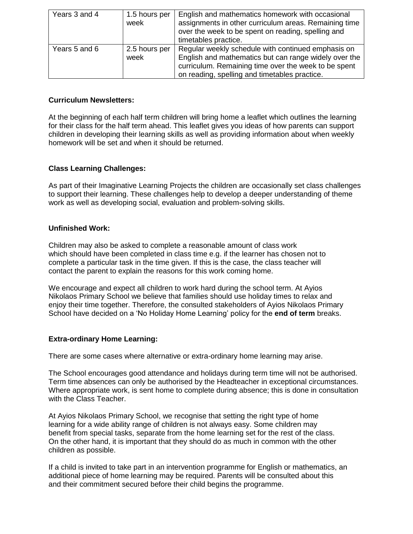| Years 3 and 4 | 1.5 hours per<br>week | English and mathematics homework with occasional<br>assignments in other curriculum areas. Remaining time<br>over the week to be spent on reading, spelling and<br>timetables practice.                              |
|---------------|-----------------------|----------------------------------------------------------------------------------------------------------------------------------------------------------------------------------------------------------------------|
| Years 5 and 6 | 2.5 hours per<br>week | Regular weekly schedule with continued emphasis on<br>English and mathematics but can range widely over the<br>curriculum. Remaining time over the week to be spent<br>on reading, spelling and timetables practice. |

### **Curriculum Newsletters:**

At the beginning of each half term children will bring home a leaflet which outlines the learning for their class for the half term ahead. This leaflet gives you ideas of how parents can support children in developing their learning skills as well as providing information about when weekly homework will be set and when it should be returned.

# **Class Learning Challenges:**

As part of their Imaginative Learning Projects the children are occasionally set class challenges to support their learning. These challenges help to develop a deeper understanding of theme work as well as developing social, evaluation and problem-solving skills.

#### **Unfinished Work:**

Children may also be asked to complete a reasonable amount of class work which should have been completed in class time e.g. if the learner has chosen not to complete a particular task in the time given. If this is the case, the class teacher will contact the parent to explain the reasons for this work coming home.

We encourage and expect all children to work hard during the school term. At Ayios Nikolaos Primary School we believe that families should use holiday times to relax and enjoy their time together. Therefore, the consulted stakeholders of Ayios Nikolaos Primary School have decided on a 'No Holiday Home Learning' policy for the **end of term** breaks.

# **Extra-ordinary Home Learning:**

There are some cases where alternative or extra-ordinary home learning may arise.

The School encourages good attendance and holidays during term time will not be authorised. Term time absences can only be authorised by the Headteacher in exceptional circumstances. Where appropriate work, is sent home to complete during absence; this is done in consultation with the Class Teacher.

At Ayios Nikolaos Primary School, we recognise that setting the right type of home learning for a wide ability range of children is not always easy. Some children may benefit from special tasks, separate from the home learning set for the rest of the class. On the other hand, it is important that they should do as much in common with the other children as possible.

If a child is invited to take part in an intervention programme for English or mathematics, an additional piece of home learning may be required. Parents will be consulted about this and their commitment secured before their child begins the programme.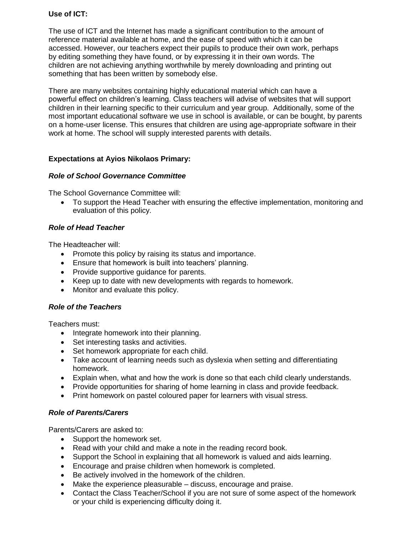## **Use of ICT:**

The use of ICT and the Internet has made a significant contribution to the amount of reference material available at home, and the ease of speed with which it can be accessed. However, our teachers expect their pupils to produce their own work, perhaps by editing something they have found, or by expressing it in their own words. The children are not achieving anything worthwhile by merely downloading and printing out something that has been written by somebody else.

There are many websites containing highly educational material which can have a powerful effect on children's learning. Class teachers will advise of websites that will support children in their learning specific to their curriculum and year group. Additionally, some of the most important educational software we use in school is available, or can be bought, by parents on a home-user license. This ensures that children are using age-appropriate software in their work at home. The school will supply interested parents with details.

## **Expectations at Ayios Nikolaos Primary:**

## *Role of School Governance Committee*

The School Governance Committee will:

• To support the Head Teacher with ensuring the effective implementation, monitoring and evaluation of this policy.

## *Role of Head Teacher*

The Headteacher will:

- Promote this policy by raising its status and importance.
- Ensure that homework is built into teachers' planning.
- Provide supportive guidance for parents.
- Keep up to date with new developments with regards to homework.
- Monitor and evaluate this policy.

#### *Role of the Teachers*

Teachers must:

- Integrate homework into their planning.
- Set interesting tasks and activities.
- Set homework appropriate for each child.
- Take account of learning needs such as dyslexia when setting and differentiating homework.
- Explain when, what and how the work is done so that each child clearly understands.
- Provide opportunities for sharing of home learning in class and provide feedback.
- Print homework on pastel coloured paper for learners with visual stress.

#### *Role of Parents/Carers*

Parents/Carers are asked to:

- Support the homework set.
- Read with your child and make a note in the reading record book.
- Support the School in explaining that all homework is valued and aids learning.
- Encourage and praise children when homework is completed.
- Be actively involved in the homework of the children.
- Make the experience pleasurable discuss, encourage and praise.
- Contact the Class Teacher/School if you are not sure of some aspect of the homework or your child is experiencing difficulty doing it.